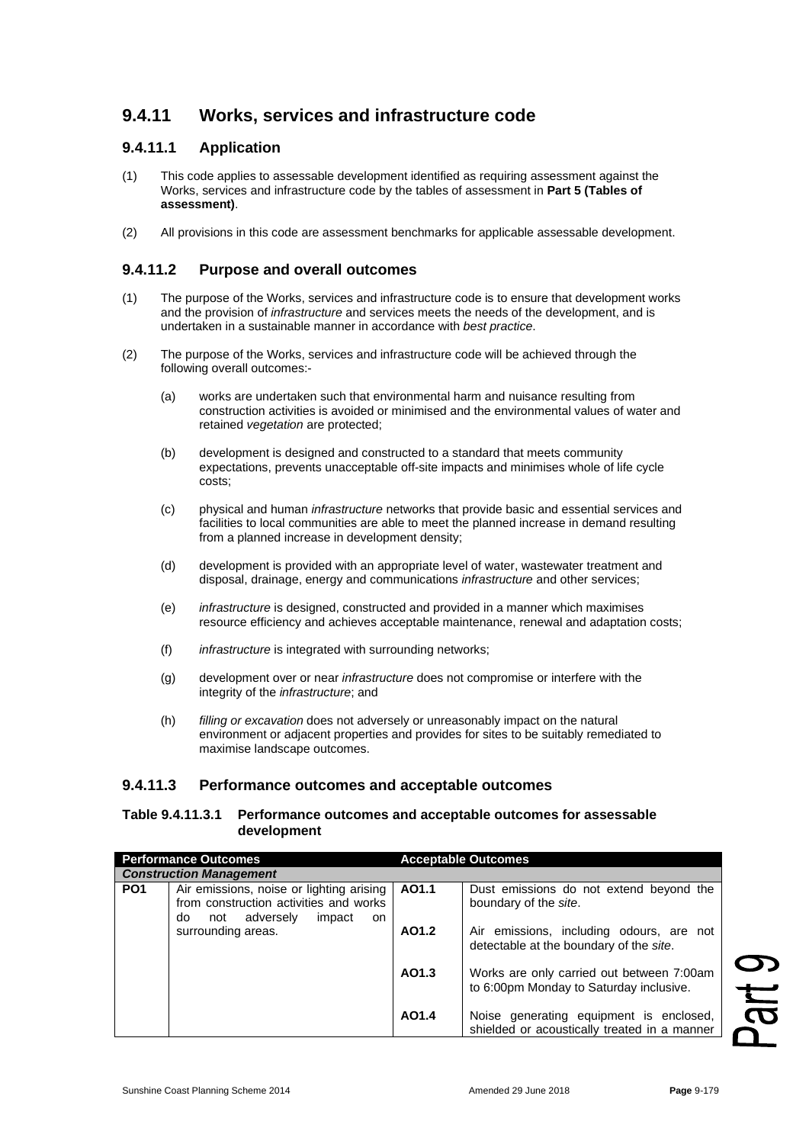# **9.4.11 Works, services and infrastructure code**

## **9.4.11.1 Application**

- (1) This code applies to assessable development identified as requiring assessment against the Works, services and infrastructure code by the tables of assessment in **Part 5 (Tables of assessment)**.
- (2) All provisions in this code are assessment benchmarks for applicable assessable development.

### **9.4.11.2 Purpose and overall outcomes**

- (1) The purpose of the Works, services and infrastructure code is to ensure that development works and the provision of *infrastructure* and services meets the needs of the development, and is undertaken in a sustainable manner in accordance with *best practice*.
- (2) The purpose of the Works, services and infrastructure code will be achieved through the following overall outcomes:-
	- (a) works are undertaken such that environmental harm and nuisance resulting from construction activities is avoided or minimised and the environmental values of water and retained *vegetation* are protected;
	- (b) development is designed and constructed to a standard that meets community expectations, prevents unacceptable off-site impacts and minimises whole of life cycle costs;
	- (c) physical and human *infrastructure* networks that provide basic and essential services and facilities to local communities are able to meet the planned increase in demand resulting from a planned increase in development density;
	- (d) development is provided with an appropriate level of water, wastewater treatment and disposal, drainage, energy and communications *infrastructure* and other services;
	- (e) *infrastructure* is designed, constructed and provided in a manner which maximises resource efficiency and achieves acceptable maintenance, renewal and adaptation costs;
	- (f) *infrastructure* is integrated with surrounding networks;
	- (g) development over or near *infrastructure* does not compromise or interfere with the integrity of the *infrastructure*; and
	- (h) *filling or excavation* does not adversely or unreasonably impact on the natural environment or adjacent properties and provides for sites to be suitably remediated to maximise landscape outcomes.

#### **9.4.11.3 Performance outcomes and acceptable outcomes**

#### **Table 9.4.11.3.1 Performance outcomes and acceptable outcomes for assessable development**

| <b>Performance Outcomes</b>    |                                                                                                                            |       | <b>Acceptable Outcomes</b>                                                              |
|--------------------------------|----------------------------------------------------------------------------------------------------------------------------|-------|-----------------------------------------------------------------------------------------|
| <b>Construction Management</b> |                                                                                                                            |       |                                                                                         |
| PO <sub>1</sub>                | Air emissions, noise or lighting arising<br>from construction activities and works<br>not adversely<br>do<br>impact<br>on. | AO1.1 | Dust emissions do not extend beyond the<br>boundary of the site.                        |
|                                | surrounding areas.                                                                                                         | AO1.2 | Air emissions, including odours, are not<br>detectable at the boundary of the site.     |
|                                |                                                                                                                            | AO1.3 | Works are only carried out between 7:00am<br>to 6:00pm Monday to Saturday inclusive.    |
|                                |                                                                                                                            | AO1.4 | Noise generating equipment is enclosed,<br>shielded or acoustically treated in a manner |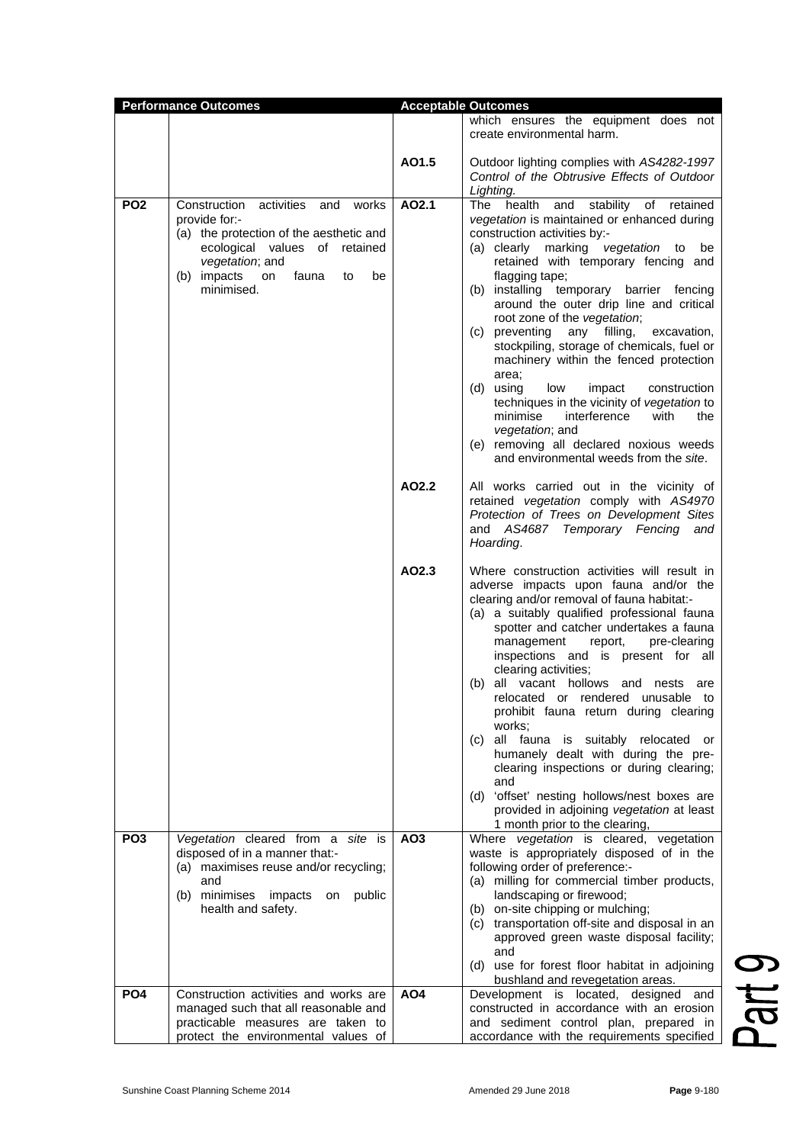| <b>Performance Outcomes</b> |                                                                                                                                                                                                           | <b>Acceptable Outcomes</b> |                                                                                                                                                                                                                                                                                                                                                                                                                                                                                                                                                                                                                                                                                                                                                           |
|-----------------------------|-----------------------------------------------------------------------------------------------------------------------------------------------------------------------------------------------------------|----------------------------|-----------------------------------------------------------------------------------------------------------------------------------------------------------------------------------------------------------------------------------------------------------------------------------------------------------------------------------------------------------------------------------------------------------------------------------------------------------------------------------------------------------------------------------------------------------------------------------------------------------------------------------------------------------------------------------------------------------------------------------------------------------|
|                             |                                                                                                                                                                                                           |                            | which ensures the equipment does not<br>create environmental harm.                                                                                                                                                                                                                                                                                                                                                                                                                                                                                                                                                                                                                                                                                        |
|                             |                                                                                                                                                                                                           | AO1.5                      | Outdoor lighting complies with AS4282-1997<br>Control of the Obtrusive Effects of Outdoor<br>Lighting.                                                                                                                                                                                                                                                                                                                                                                                                                                                                                                                                                                                                                                                    |
| PO <sub>2</sub>             | Construction activities and works<br>provide for:-<br>(a) the protection of the aesthetic and<br>ecological values of retained<br>vegetation; and<br>(b) impacts<br>fauna<br>on<br>be<br>to<br>minimised. | AO2.1                      | The health<br>stability of retained<br>and<br>vegetation is maintained or enhanced during<br>construction activities by:-<br>(a) clearly marking vegetation to<br>be<br>retained with temporary fencing and<br>flagging tape;<br>(b) installing temporary barrier fencing<br>around the outer drip line and critical<br>root zone of the vegetation;<br>(c) preventing<br>filling,<br>any<br>excavation,<br>stockpiling, storage of chemicals, fuel or<br>machinery within the fenced protection<br>area;<br>(d) using<br>low<br>impact<br>construction<br>techniques in the vicinity of vegetation to<br>interference<br>minimise<br>with<br>the<br>vegetation; and<br>(e) removing all declared noxious weeds<br>and environmental weeds from the site. |
|                             |                                                                                                                                                                                                           | AO2.2                      | All works carried out in the vicinity of<br>retained vegetation comply with AS4970<br>Protection of Trees on Development Sites<br>and AS4687 Temporary Fencing and<br>Hoarding.                                                                                                                                                                                                                                                                                                                                                                                                                                                                                                                                                                           |
|                             |                                                                                                                                                                                                           | AO2.3                      | Where construction activities will result in<br>adverse impacts upon fauna and/or the<br>clearing and/or removal of fauna habitat:-<br>(a) a suitably qualified professional fauna<br>spotter and catcher undertakes a fauna<br>pre-clearing<br>management<br>report,<br>inspections and is present for all<br>clearing activities;<br>all vacant hollows and nests<br>(b)<br>are<br>relocated or rendered unusable to<br>prohibit fauna return during clearing<br>works;<br>all fauna is suitably relocated or<br>(c)<br>humanely dealt with during the pre-<br>clearing inspections or during clearing;<br>and<br>(d) 'offset' nesting hollows/nest boxes are<br>provided in adjoining vegetation at least<br>1 month prior to the clearing,            |
| PO <sub>3</sub>             | Vegetation cleared from a site is<br>disposed of in a manner that:-<br>(a) maximises reuse and/or recycling;<br>and<br>minimises<br>public<br>(b)<br>impacts<br>on<br>health and safety.                  | AO <sub>3</sub>            | Where vegetation is cleared, vegetation<br>waste is appropriately disposed of in the<br>following order of preference:-<br>(a) milling for commercial timber products,<br>landscaping or firewood;<br>(b) on-site chipping or mulching;<br>(c) transportation off-site and disposal in an<br>approved green waste disposal facility;<br>and<br>(d) use for forest floor habitat in adjoining<br>bushland and revegetation areas.                                                                                                                                                                                                                                                                                                                          |
| PO <sub>4</sub>             | Construction activities and works are<br>managed such that all reasonable and<br>practicable measures are taken to<br>protect the environmental values of                                                 | AO4                        | Development is located, designed and<br>constructed in accordance with an erosion<br>and sediment control plan, prepared in<br>accordance with the requirements specified                                                                                                                                                                                                                                                                                                                                                                                                                                                                                                                                                                                 |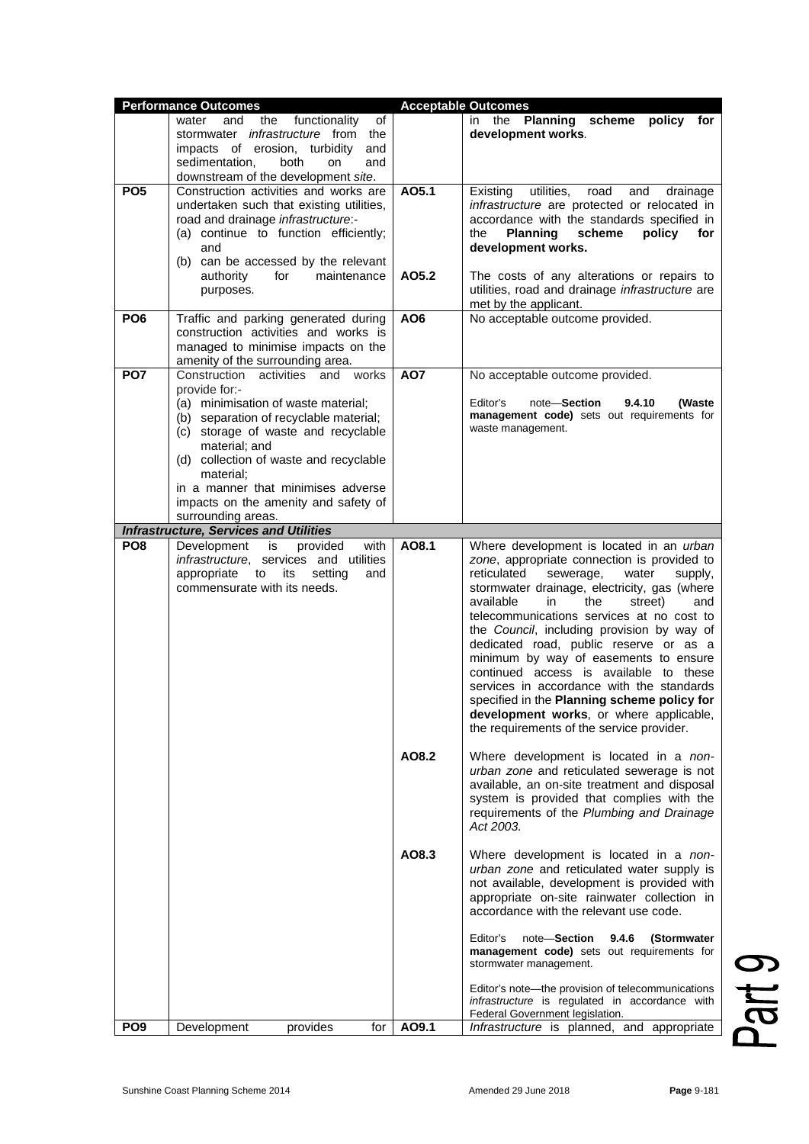|                 | <b>Performance Outcomes</b>                                                                                                                                                                                                                                                                                                                               |                 | <b>Acceptable Outcomes</b>                                                                                                                                                                                                                                                                                                                                                                                                                                                                                                                                                                                                                      |
|-----------------|-----------------------------------------------------------------------------------------------------------------------------------------------------------------------------------------------------------------------------------------------------------------------------------------------------------------------------------------------------------|-----------------|-------------------------------------------------------------------------------------------------------------------------------------------------------------------------------------------------------------------------------------------------------------------------------------------------------------------------------------------------------------------------------------------------------------------------------------------------------------------------------------------------------------------------------------------------------------------------------------------------------------------------------------------------|
|                 | and<br>functionality<br>of<br>water<br>the<br>stormwater <i>infrastructure</i> from the<br>impacts of erosion, turbidity<br>and<br>sedimentation,<br>both<br>and<br><b>on</b><br>downstream of the development site.                                                                                                                                      |                 | the <b>Planning</b> scheme<br>policy<br>for<br>in.<br>development works.                                                                                                                                                                                                                                                                                                                                                                                                                                                                                                                                                                        |
| PO <sub>5</sub> | Construction activities and works are<br>undertaken such that existing utilities,<br>road and drainage infrastructure:-<br>(a) continue to function efficiently;<br>and<br>(b) can be accessed by the relevant                                                                                                                                            | AO5.1           | utilities,<br>road<br>Existing<br>and<br>drainage<br>infrastructure are protected or relocated in<br>accordance with the standards specified in<br>the<br><b>Planning</b><br>scheme<br>policy<br>for<br>development works.                                                                                                                                                                                                                                                                                                                                                                                                                      |
|                 | authority<br>for<br>maintenance<br>purposes.                                                                                                                                                                                                                                                                                                              | AO5.2           | The costs of any alterations or repairs to<br>utilities, road and drainage infrastructure are<br>met by the applicant.                                                                                                                                                                                                                                                                                                                                                                                                                                                                                                                          |
| PO <sub>6</sub> | Traffic and parking generated during<br>construction activities and works is<br>managed to minimise impacts on the<br>amenity of the surrounding area.                                                                                                                                                                                                    | AO <sub>6</sub> | No acceptable outcome provided.                                                                                                                                                                                                                                                                                                                                                                                                                                                                                                                                                                                                                 |
| PO <sub>7</sub> | Construction activities and works<br>provide for:-<br>(a) minimisation of waste material;<br>(b) separation of recyclable material;<br>storage of waste and recyclable<br>(c)<br>material; and<br>(d) collection of waste and recyclable<br>material;<br>in a manner that minimises adverse<br>impacts on the amenity and safety of<br>surrounding areas. | AO7             | No acceptable outcome provided.<br>Editor's<br>note-Section<br>9.4.10<br>(Waste<br>management code) sets out requirements for<br>waste management.                                                                                                                                                                                                                                                                                                                                                                                                                                                                                              |
|                 | <b>Infrastructure, Services and Utilities</b>                                                                                                                                                                                                                                                                                                             |                 |                                                                                                                                                                                                                                                                                                                                                                                                                                                                                                                                                                                                                                                 |
| PO <sub>8</sub> | Development<br>is<br>provided<br>with<br>infrastructure, services and utilities<br>appropriate<br>its<br>setting<br>and<br>to<br>commensurate with its needs.                                                                                                                                                                                             | AO8.1           | Where development is located in an urban<br>zone, appropriate connection is provided to<br>reticulated<br>sewerage,<br>water<br>supply,<br>stormwater drainage, electricity, gas (where<br>available<br>the<br>in<br>street)<br>and<br>telecommunications services at no cost to<br>the Council, including provision by way of<br>dedicated road, public reserve or as a<br>minimum by way of easements to ensure<br>continued access is available to these<br>services in accordance with the standards<br>specified in the Planning scheme policy for<br>development works, or where applicable,<br>the requirements of the service provider. |
|                 |                                                                                                                                                                                                                                                                                                                                                           | AO8.2           | Where development is located in a non-<br>urban zone and reticulated sewerage is not<br>available, an on-site treatment and disposal<br>system is provided that complies with the<br>requirements of the Plumbing and Drainage<br>Act 2003.                                                                                                                                                                                                                                                                                                                                                                                                     |
|                 |                                                                                                                                                                                                                                                                                                                                                           | AO8.3           | Where development is located in a non-<br>urban zone and reticulated water supply is<br>not available, development is provided with<br>appropriate on-site rainwater collection in<br>accordance with the relevant use code.<br>Editor's<br>note-Section<br>9.4.6<br>(Stormwater                                                                                                                                                                                                                                                                                                                                                                |
|                 |                                                                                                                                                                                                                                                                                                                                                           |                 | management code) sets out requirements for<br>stormwater management.<br>Editor's note-the provision of telecommunications<br>infrastructure is regulated in accordance with                                                                                                                                                                                                                                                                                                                                                                                                                                                                     |
| PO <sub>9</sub> | provides<br>Development<br>for                                                                                                                                                                                                                                                                                                                            | AO9.1           | Federal Government legislation.<br>Infrastructure is planned, and appropriate                                                                                                                                                                                                                                                                                                                                                                                                                                                                                                                                                                   |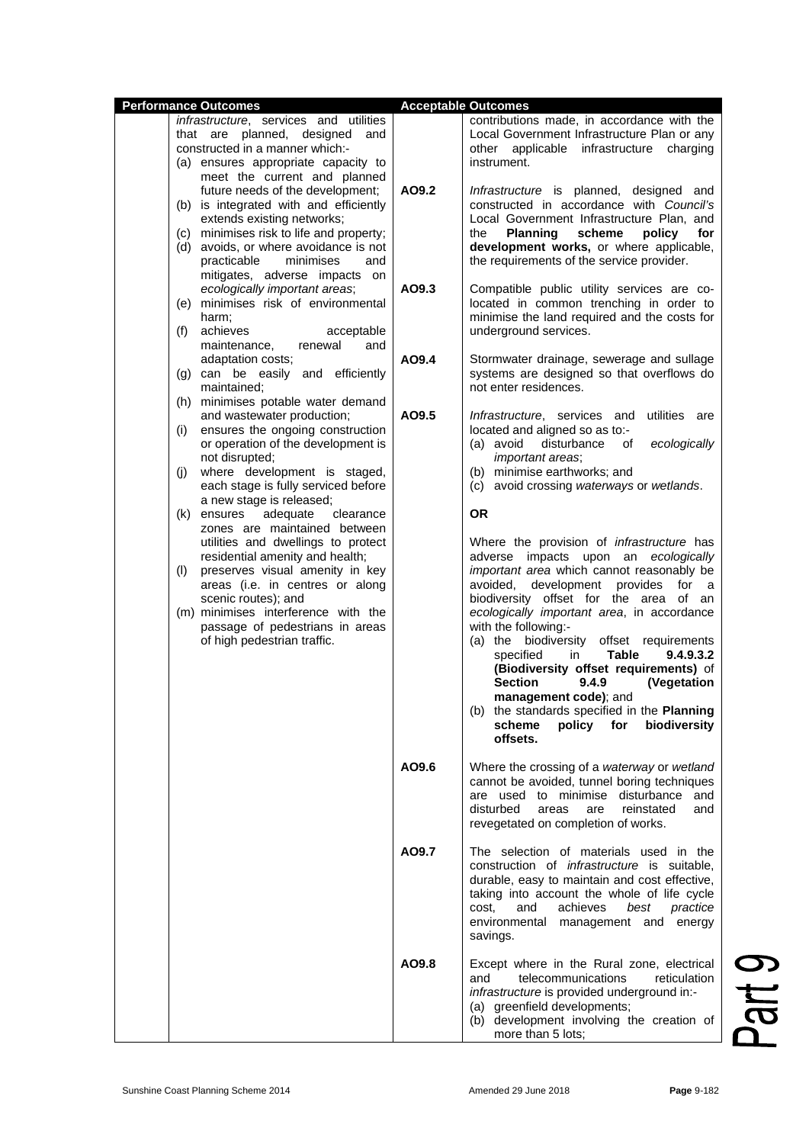| <b>Performance Outcomes</b>                                                                                                                                                                                                                                      |       | <b>Acceptable Outcomes</b>                                                                                                                                                                                                                                                                                                                                                                                                                                                                                                                                    |       |
|------------------------------------------------------------------------------------------------------------------------------------------------------------------------------------------------------------------------------------------------------------------|-------|---------------------------------------------------------------------------------------------------------------------------------------------------------------------------------------------------------------------------------------------------------------------------------------------------------------------------------------------------------------------------------------------------------------------------------------------------------------------------------------------------------------------------------------------------------------|-------|
| infrastructure, services and utilities<br>that are planned, designed<br>and<br>constructed in a manner which:-<br>(a) ensures appropriate capacity to                                                                                                            |       | contributions made, in accordance with the<br>Local Government Infrastructure Plan or any<br>other applicable<br>infrastructure<br>charging<br>instrument.                                                                                                                                                                                                                                                                                                                                                                                                    |       |
| meet the current and planned<br>future needs of the development;<br>(b) is integrated with and efficiently<br>extends existing networks;<br>(c) minimises risk to life and property;<br>(d) avoids, or where avoidance is not<br>practicable<br>minimises<br>and | AO9.2 | Infrastructure is planned, designed and<br>constructed in accordance with Council's<br>Local Government Infrastructure Plan, and<br><b>Planning</b><br>scheme<br>policy<br>for<br>the<br>development works, or where applicable,<br>the requirements of the service provider.                                                                                                                                                                                                                                                                                 |       |
| mitigates, adverse impacts on<br>ecologically important areas;<br>(e) minimises risk of environmental<br>harm;<br>(f) achieves<br>acceptable                                                                                                                     | AO9.3 | Compatible public utility services are co-<br>located in common trenching in order to<br>minimise the land required and the costs for<br>underground services.                                                                                                                                                                                                                                                                                                                                                                                                |       |
| maintenance,<br>renewal<br>and<br>adaptation costs;<br>(g) can be easily and efficiently<br>maintained;                                                                                                                                                          | AO9.4 | Stormwater drainage, sewerage and sullage<br>systems are designed so that overflows do<br>not enter residences.                                                                                                                                                                                                                                                                                                                                                                                                                                               |       |
| (h) minimises potable water demand<br>and wastewater production;<br>ensures the ongoing construction<br>(i)<br>or operation of the development is<br>not disrupted;<br>where development is staged,<br>(i)<br>each stage is fully serviced before                | AO9.5 | utilities are<br><i>Infrastructure</i> , services and<br>located and aligned so as to:-<br>(a) avoid<br>disturbance<br>ecologically<br>of<br>important areas;<br>(b) minimise earthworks; and<br>(c) avoid crossing waterways or wetlands.                                                                                                                                                                                                                                                                                                                    |       |
| a new stage is released;<br>(k) ensures<br>adequate<br>clearance<br>zones are maintained between<br>utilities and dwellings to protect                                                                                                                           |       | <b>OR</b><br>Where the provision of infrastructure has                                                                                                                                                                                                                                                                                                                                                                                                                                                                                                        |       |
| residential amenity and health;<br>preserves visual amenity in key<br>(1)<br>areas (i.e. in centres or along<br>scenic routes); and<br>(m) minimises interference with the<br>passage of pedestrians in areas<br>of high pedestrian traffic.                     |       | adverse impacts upon an ecologically<br>important area which cannot reasonably be<br>avoided, development provides for a<br>biodiversity offset for the area of an<br>ecologically important area, in accordance<br>with the following:-<br>(a) the biodiversity offset requirements<br><b>Table</b><br>specified<br>9.4.9.3.2<br>in<br>(Biodiversity offset requirements) of<br><b>Section</b><br>9.4.9<br>(Vegetation<br>management code); and<br>(b) the standards specified in the <b>Planning</b><br>scheme<br>policy<br>for<br>biodiversity<br>offsets. |       |
|                                                                                                                                                                                                                                                                  | AO9.6 | Where the crossing of a waterway or wetland<br>cannot be avoided, tunnel boring techniques<br>are used to minimise disturbance and<br>disturbed<br>reinstated<br>areas<br>are<br>and<br>revegetated on completion of works.                                                                                                                                                                                                                                                                                                                                   |       |
|                                                                                                                                                                                                                                                                  | AO9.7 | The selection of materials used in the<br>construction of <i>infrastructure</i> is suitable,<br>durable, easy to maintain and cost effective,<br>taking into account the whole of life cycle<br>and<br>achieves<br>best<br>practice<br>cost.<br>environmental management and energy<br>savings.                                                                                                                                                                                                                                                               |       |
|                                                                                                                                                                                                                                                                  | AO9.8 | Except where in the Rural zone, electrical<br>telecommunications<br>reticulation<br>and<br><i>infrastructure</i> is provided underground in:-<br>(a) greenfield developments;<br>(b) development involving the creation of<br>more than 5 lots:                                                                                                                                                                                                                                                                                                               | e per |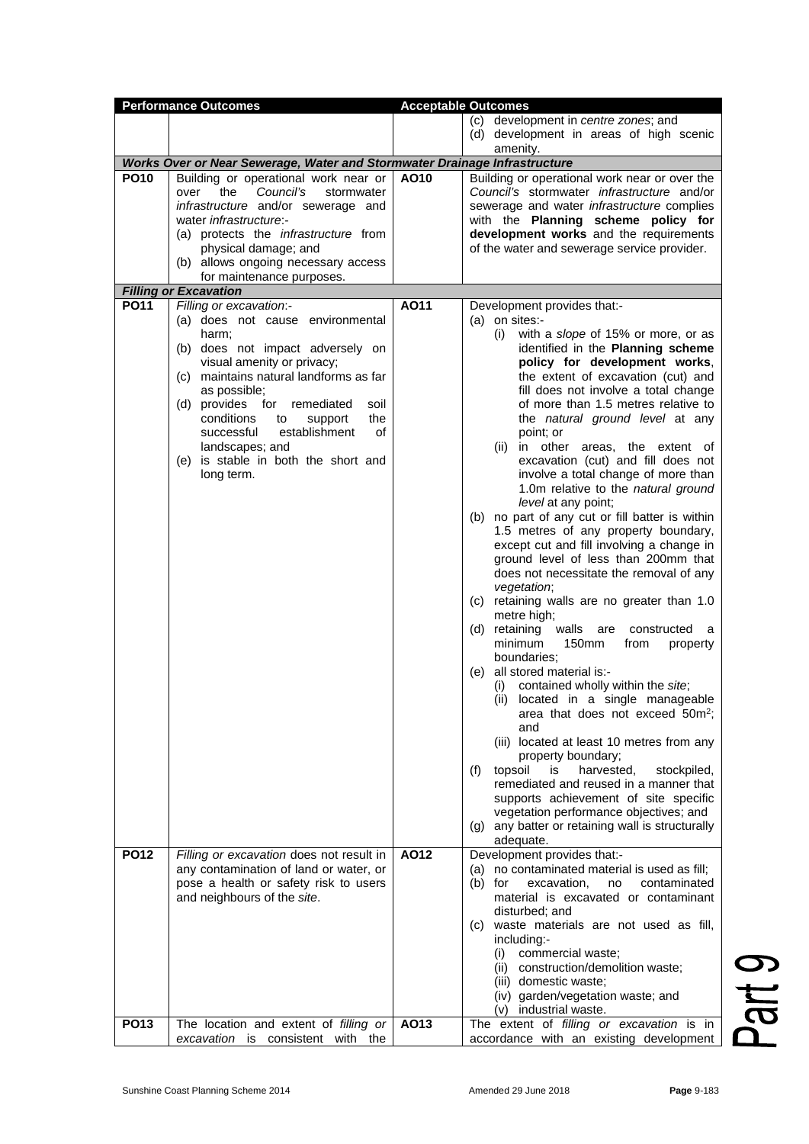| <b>Performance Outcomes</b> |                                                                                                                                                                                                                                                                                                                                                                    | <b>Acceptable Outcomes</b> |                                                                                                                                                                                                                                                                                                                                                                                                                                                                                                                                                                                                                                                                                                                                                                                                                                                                                                                                                                                                                                                                                                                                                                                                                                                                                                                                                                                                        |
|-----------------------------|--------------------------------------------------------------------------------------------------------------------------------------------------------------------------------------------------------------------------------------------------------------------------------------------------------------------------------------------------------------------|----------------------------|--------------------------------------------------------------------------------------------------------------------------------------------------------------------------------------------------------------------------------------------------------------------------------------------------------------------------------------------------------------------------------------------------------------------------------------------------------------------------------------------------------------------------------------------------------------------------------------------------------------------------------------------------------------------------------------------------------------------------------------------------------------------------------------------------------------------------------------------------------------------------------------------------------------------------------------------------------------------------------------------------------------------------------------------------------------------------------------------------------------------------------------------------------------------------------------------------------------------------------------------------------------------------------------------------------------------------------------------------------------------------------------------------------|
|                             |                                                                                                                                                                                                                                                                                                                                                                    |                            | (c) development in centre zones; and<br>(d) development in areas of high scenic                                                                                                                                                                                                                                                                                                                                                                                                                                                                                                                                                                                                                                                                                                                                                                                                                                                                                                                                                                                                                                                                                                                                                                                                                                                                                                                        |
|                             | Works Over or Near Sewerage, Water and Stormwater Drainage Infrastructure                                                                                                                                                                                                                                                                                          |                            | amenity.                                                                                                                                                                                                                                                                                                                                                                                                                                                                                                                                                                                                                                                                                                                                                                                                                                                                                                                                                                                                                                                                                                                                                                                                                                                                                                                                                                                               |
| <b>PO10</b>                 | Building or operational work near or<br>the<br>Council's<br>stormwater<br>over<br>infrastructure and/or sewerage and<br>water infrastructure:-<br>(a) protects the <i>infrastructure</i> from<br>physical damage; and<br>(b) allows ongoing necessary access<br>for maintenance purposes.<br><b>Filling or Excavation</b>                                          | AO10                       | Building or operational work near or over the<br>Council's stormwater infrastructure and/or<br>sewerage and water <i>infrastructure</i> complies<br>with the Planning scheme policy for<br>development works and the requirements<br>of the water and sewerage service provider.                                                                                                                                                                                                                                                                                                                                                                                                                                                                                                                                                                                                                                                                                                                                                                                                                                                                                                                                                                                                                                                                                                                       |
| <b>PO11</b>                 | Filling or excavation:-                                                                                                                                                                                                                                                                                                                                            | AO11                       | Development provides that:-                                                                                                                                                                                                                                                                                                                                                                                                                                                                                                                                                                                                                                                                                                                                                                                                                                                                                                                                                                                                                                                                                                                                                                                                                                                                                                                                                                            |
|                             | (a) does not cause environmental<br>harm;<br>(b) does not impact adversely on<br>visual amenity or privacy;<br>(c) maintains natural landforms as far<br>as possible;<br>(d) provides for<br>remediated<br>soil<br>conditions<br>to<br>support<br>the<br>successful<br>establishment<br>of<br>landscapes; and<br>(e) is stable in both the short and<br>long term. |                            | $(a)$ on sites:-<br>with a slope of 15% or more, or as<br>(i)<br>identified in the Planning scheme<br>policy for development works,<br>the extent of excavation (cut) and<br>fill does not involve a total change<br>of more than 1.5 metres relative to<br>the natural ground level at any<br>point; or<br>(ii) in other areas, the extent of<br>excavation (cut) and fill does not<br>involve a total change of more than<br>1.0m relative to the natural ground<br>level at any point;<br>(b) no part of any cut or fill batter is within<br>1.5 metres of any property boundary,<br>except cut and fill involving a change in<br>ground level of less than 200mm that<br>does not necessitate the removal of any<br>vegetation;<br>(c) retaining walls are no greater than 1.0<br>metre high;<br>retaining<br>walls<br>(d)<br>are<br>constructed<br>a<br>minimum<br>150mm<br>from<br>property<br>boundaries:<br>all stored material is:-<br>(e)<br>contained wholly within the site;<br>(i)<br>(ii) located in a single manageable<br>area that does not exceed 50m <sup>2</sup> ;<br>and<br>(iii) located at least 10 metres from any<br>property boundary;<br>(f)<br>is<br>harvested,<br>topsoil<br>stockpiled,<br>remediated and reused in a manner that<br>supports achievement of site specific<br>vegetation performance objectives; and<br>(g) any batter or retaining wall is structurally |
| <b>PO12</b>                 | Filling or excavation does not result in<br>any contamination of land or water, or<br>pose a health or safety risk to users<br>and neighbours of the site.                                                                                                                                                                                                         | AO12                       | adequate.<br>Development provides that:-<br>(a) no contaminated material is used as fill;<br>$(b)$ for<br>contaminated<br>excavation,<br>no<br>material is excavated or contaminant<br>disturbed; and<br>(c) waste materials are not used as fill,<br>including:-<br>commercial waste;<br>(i)<br>(ii) construction/demolition waste;<br>(iii) domestic waste;<br>(iv) garden/vegetation waste; and<br>(v) industrial waste.                                                                                                                                                                                                                                                                                                                                                                                                                                                                                                                                                                                                                                                                                                                                                                                                                                                                                                                                                                            |
| <b>PO13</b>                 | The location and extent of filling or<br>excavation is consistent with the                                                                                                                                                                                                                                                                                         | AO13                       | The extent of filling or excavation is in<br>accordance with an existing development                                                                                                                                                                                                                                                                                                                                                                                                                                                                                                                                                                                                                                                                                                                                                                                                                                                                                                                                                                                                                                                                                                                                                                                                                                                                                                                   |